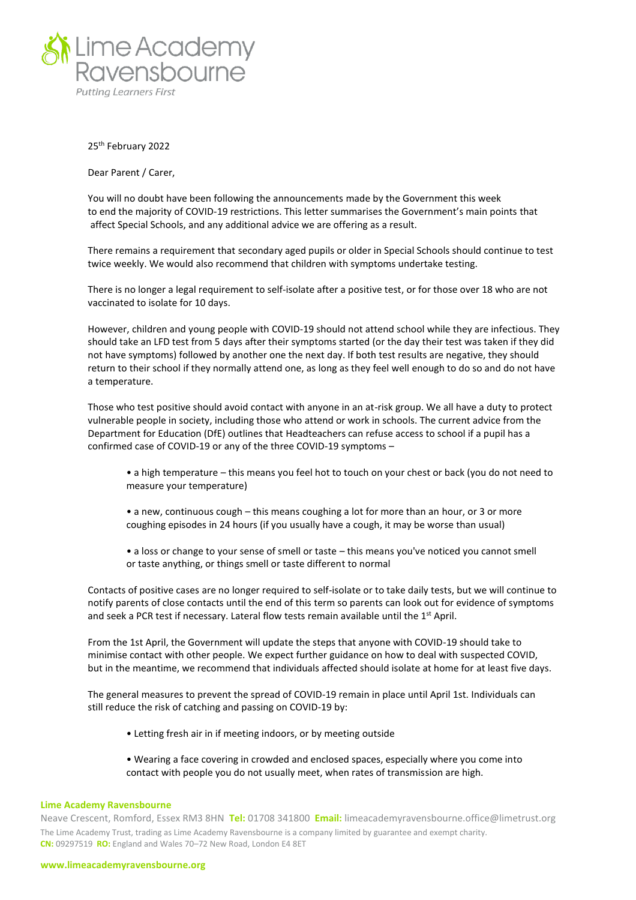

25th February 2022

Dear Parent / Carer,

You will no doubt have been following the announcements made by the Government this week to end the majority of COVID-19 restrictions. This letter summarises the Government's main points that affect Special Schools, and any additional advice we are offering as a result.

There remains a requirement that secondary aged pupils or older in Special Schools should continue to test twice weekly. We would also recommend that children with symptoms undertake testing.

There is no longer a legal requirement to self-isolate after a positive test, or for those over 18 who are not vaccinated to isolate for 10 days.

However, children and young people with COVID-19 should not attend school while they are infectious. They should take an LFD test from 5 days after their symptoms started (or the day their test was taken if they did not have symptoms) followed by another one the next day. If both test results are negative, they should return to their school if they normally attend one, as long as they feel well enough to do so and do not have a temperature.

Those who test positive should avoid contact with anyone in an at-risk group. We all have a duty to protect vulnerable people in society, including those who attend or work in schools. The current advice from the Department for Education (DfE) outlines that Headteachers can refuse access to school if a pupil has a confirmed case of COVID-19 or any of the three COVID-19 symptoms –

- a high temperature this means you feel hot to touch on your chest or back (you do not need to measure your temperature)
- a new, continuous cough this means coughing a lot for more than an hour, or 3 or more coughing episodes in 24 hours (if you usually have a cough, it may be worse than usual)
- a loss or change to your sense of smell or taste this means you've noticed you cannot smell or taste anything, or things smell or taste different to normal

Contacts of positive cases are no longer required to self-isolate or to take daily tests, but we will continue to notify parents of close contacts until the end of this term so parents can look out for evidence of symptoms and seek a PCR test if necessary. Lateral flow tests remain available until the 1<sup>st</sup> April.

From the 1st April, the Government will update the steps that anyone with COVID-19 should take to minimise contact with other people. We expect further guidance on how to deal with suspected COVID, but in the meantime, we recommend that individuals affected should isolate at home for at least five days.

The general measures to prevent the spread of COVID-19 remain in place until April 1st. Individuals can still reduce the risk of catching and passing on COVID-19 by:

- Letting fresh air in if meeting indoors, or by meeting outside
- Wearing a face covering in crowded and enclosed spaces, especially where you come into contact with people you do not usually meet, when rates of transmission are high.

## **Lime Academy Ravensbourne**

Neave Crescent, Romford, Essex RM3 8HN **Tel:** 01708 341800 **Email:** limeacademyravensbourne.office@limetrust.org The Lime Academy Trust, trading as Lime Academy Ravensbourne is a company limited by guarantee and exempt charity. **CN:** 09297519 **RO:** England and Wales 70–72 New Road, London E4 8ET